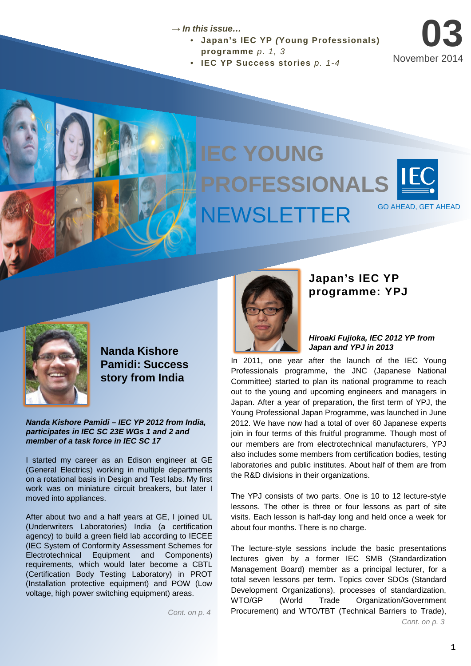### → *In this issue…*

- **Japan's IEC YP** *(***Young Professionals)** 
	- **programme** *p. 1, 3*
- **IEC YP Success stories** *p. 1-4*

# **IEC YOUNG IEC YOUNG IEC YOUNG PROFESSIONALS PROFESSIONALS PROFESSIONALS** NEWSLETTER GO AHEAD, GET AHEAD NEWSLETTER GO AHEAD, GET AHEAD NEWSLETTER GO AHEAD, GET AHEAD



**03**

November 2014



**Nanda Kishore Pamidi: Success story from India**

*Nanda Kishore Pamidi – IEC YP 2012 from India, participates in IEC SC 23E WGs 1 and 2 and member of a task force in IEC SC 17*

I started my career as an Edison engineer at GE (General Electrics) working in multiple departments on a rotational basis in Design and Test labs. My first work was on miniature circuit breakers, but later I moved into appliances.

After about two and a half years at GE, I joined UL (Underwriters Laboratories) India (a certification agency) to build a green field lab according to IECEE (IEC System of Conformity Assessment Schemes for Electrotechnical Equipment and Components) requirements, which would later become a CBTL (Certification Body Testing Laboratory) in PROT (Installation protective equipment) and POW (Low voltage, high power switching equipment) areas.

*Cont. on p. 4*



## **Japan's IEC YP programme: YPJ**

*Hiroaki Fujioka, IEC 2012 YP from Japan and YPJ in 2013*

In 2011, one year after the launch of the IEC Young Professionals programme, the JNC (Japanese National Committee) started to plan its national programme to reach out to the young and upcoming engineers and managers in Japan. After a year of preparation, the first term of YPJ, the Young Professional Japan Programme, was launched in June 2012. We have now had a total of over 60 Japanese experts join in four terms of this fruitful programme. Though most of our members are from electrotechnical manufacturers, YPJ also includes some members from certification bodies, testing laboratories and public institutes. About half of them are from the R&D divisions in their organizations.

The YPJ consists of two parts. One is 10 to 12 lecture-style lessons. The other is three or four lessons as part of site visits. Each lesson is half-day long and held once a week for about four months. There is no charge.

The lecture-style sessions include the basic presentations lectures given by a former IEC SMB (Standardization Management Board) member as a principal lecturer, for a total seven lessons per term. Topics cover SDOs (Standard Development Organizations), processes of standardization, WTO/GP (World Trade Organization/Government Procurement) and WTO/TBT (Technical Barriers to Trade), *Cont. on p. 3*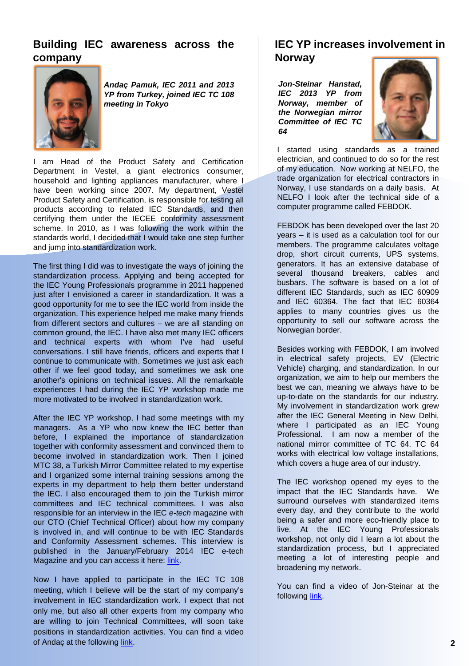# **Building IEC awareness across the company**



*Andaç Pamuk, IEC 2011 and 2013 YP from Turkey, joined IEC TC 108 meeting in Tokyo*

I am Head of the Product Safety and Certification Department in Vestel, a giant electronics consumer, household and lighting appliances manufacturer, where I have been working since 2007. My department, Vestel Product Safety and Certification, is responsible for testing all products according to related IEC Standards, and then certifying them under the IECEE conformity assessment scheme. In 2010, as I was following the work within the standards world, I decided that I would take one step further and jump into standardization work.

The first thing I did was to investigate the ways of joining the standardization process. Applying and being accepted for the IEC Young Professionals programme in 2011 happened just after I envisioned a career in standardization. It was a good opportunity for me to see the IEC world from inside the organization. This experience helped me make many friends from different sectors and cultures – we are all standing on common ground, the IEC. I have also met many IEC officers and technical experts with whom I've had useful conversations. I still have friends, officers and experts that I continue to communicate with. Sometimes we just ask each other if we feel good today, and sometimes we ask one another's opinions on technical issues. All the remarkable experiences I had during the IEC YP workshop made me more motivated to be involved in standardization work.

After the IEC YP workshop, I had some meetings with my managers. As a YP who now knew the IEC better than before, I explained the importance of standardization together with conformity assessment and convinced them to become involved in standardization work. Then I joined MTC 38, a Turkish Mirror Committee related to my expertise and I organized some internal training sessions among the experts in my department to help them better understand the IEC. I also encouraged them to join the Turkish mirror committees and IEC technical committees. I was also responsible for an interview in the IEC *e-tech* magazine with our CTO (Chief Technical Officer) about how my company is involved in, and will continue to be with IEC Standards and Conformity Assessment schemes. This interview is published in the January/February 2014 IEC e-tech Magazine and you can access it here: [link.](http://www.iec.ch/etech/2014/etech_0114/ca-2.htm)

Now I have applied to participate in the IEC TC 108 meeting, which I believe will be the start of my company's involvement in IEC standardization work. I expect that not only me, but also all other experts from my company who are willing to join Technical Committees, will soon take positions in standardization activities. You can find a video of Andaç at the following [link.](http://www.youtube.com/watch?v=UwyVxxCgXag&list=PL16DB66973F9C38E4&index=22)

# **IEC YP increases involvement in Norway**

*Jon-Steinar Hanstad, IEC 2013 YP from Norway, member of the Norwegian mirror Committee of IEC TC 64*



I started using standards as a trained electrician, and continued to do so for the rest of my education. Now working at NELFO, the trade organization for electrical contractors in Norway, I use standards on a daily basis. At NELFO I look after the technical side of a computer programme called FEBDOK.

FEBDOK has been developed over the last 20 years – it is used as a calculation tool for our members. The programme calculates voltage drop, short circuit currents, UPS systems, generators. It has an extensive database of several thousand breakers, cables and busbars. The software is based on a lot of different IEC Standards, such as IEC 60909 and IEC 60364. The fact that IEC 60364 applies to many countries gives us the opportunity to sell our software across the Norwegian border.

Besides working with FEBDOK, I am involved in electrical safety projects, EV (Electric Vehicle) charging, and standardization. In our organization, we aim to help our members the best we can, meaning we always have to be up-to-date on the standards for our industry. My involvement in standardization work grew after the IEC General Meeting in New Delhi, where I participated as an IEC Young Professional. I am now a member of the national mirror committee of TC 64. TC 64 works with electrical low voltage installations, which covers a huge area of our industry.

The IEC workshop opened my eyes to the impact that the IEC Standards have. We surround ourselves with standardized items every day, and they contribute to the world being a safer and more eco-friendly place to live. At the IEC Young Professionals workshop, not only did I learn a lot about the standardization process, but I appreciated meeting a lot of interesting people and broadening my network.

You can find a video of Jon-Steinar at the following [link](http://www.youtube.com/watch?v=sdk3OyR22H0).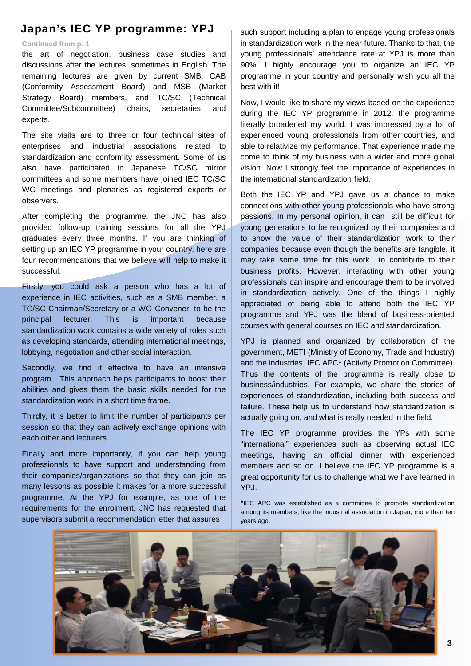# **Japan's IEC YP programme: YPJ**

#### **Continued from p. 1**

the art of negotiation, business case studies and discussions after the lectures, sometimes in English. The remaining lectures are given by current SMB, CAB (Conformity Assessment Board) and MSB (Market Strategy Board) members, and TC/SC (Technical Committee/Subcommittee) chairs, secretaries and experts.

The site visits are to three or four technical sites of enterprises and industrial associations related to standardization and conformity assessment. Some of us also have participated in Japanese TC/SC mirror committees and some members have joined IEC TC/SC WG meetings and plenaries as registered experts or observers.

After completing the programme, the JNC has also provided follow-up training sessions for all the YPJ graduates every three months. If you are thinking of setting up an IEC YP programme in your country, here are four recommendations that we believe will help to make it successful.

Firstly, you could ask a person who has a lot of experience in IEC activities, such as a SMB member, a TC/SC Chairman/Secretary or a WG Convener, to be the principal lecturer. This is important because standardization work contains a wide variety of roles such as developing standards, attending international meetings, lobbying, negotiation and other social interaction.

Secondly, we find it effective to have an intensive program. This approach helps participants to boost their abilities and gives them the basic skills needed for the standardization work in a short time frame.

Thirdly, it is better to limit the number of participants per session so that they can actively exchange opinions with each other and lecturers.

Finally and more importantly, if you can help young professionals to have support and understanding from their companies/organizations so that they can join as many lessons as possible it makes for a more successful programme. At the YPJ for example, as one of the requirements for the enrolment, JNC has requested that supervisors submit a recommendation letter that assures

such support including a plan to engage young professionals in standardization work in the near future. Thanks to that, the young professionals' attendance rate at YPJ is more than 90%. I highly encourage you to organize an IEC YP programme in your country and personally wish you all the best with it!

Now, I would like to share my views based on the experience during the IEC YP programme in 2012, the programme literally broadened my world. I was impressed by a lot of experienced young professionals from other countries, and able to relativize my performance. That experience made me come to think of my business with a wider and more global vision. Now I strongly feel the importance of experiences in the international standardization field.

Both the IEC YP and YPJ gave us a chance to make connections with other young professionals who have strong passions. In my personal opinion, it can still be difficult for young generations to be recognized by their companies and to show the value of their standardization work to their companies because even though the benefits are tangible, it may take some time for this work to contribute to their business profits. However, interacting with other young professionals can inspire and encourage them to be involved in standardization actively. One of the things I highly appreciated of being able to attend both the IEC YP programme and YPJ was the blend of business-oriented courses with general courses on IEC and standardization.

YPJ is planned and organized by collaboration of the government, METI (Ministry of Economy, Trade and Industry) and the industries, IEC APC\* (Activity Promotion Committee). Thus the contents of the programme is really close to business/industries. For example, we share the stories of experiences of standardization, including both success and failure. These help us to understand how standardization is actually going on, and what is really needed in the field.

The IEC YP programme provides the YPs with some "international" experiences such as observing actual IEC meetings, having an official dinner with experienced members and so on. I believe the IEC YP programme is a great opportunity for us to challenge what we have learned in YPJ.

\*IEC APC was established as a committee to promote standardization among its members, like the industrial association in Japan, more than ten years ago.